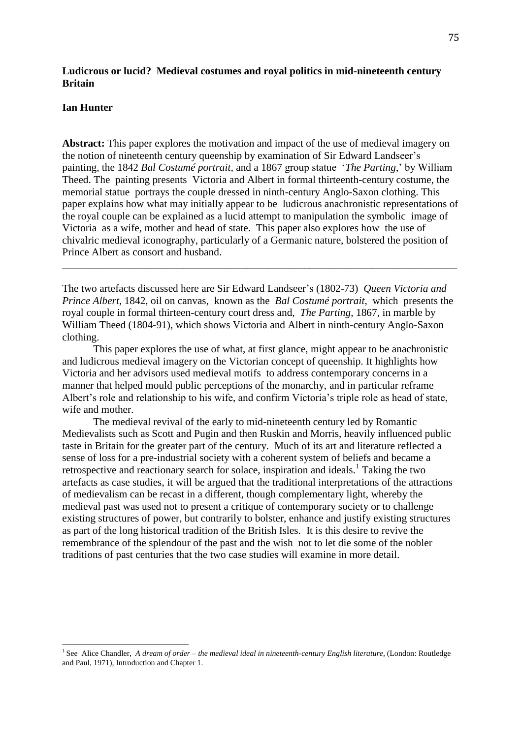# **Ludicrous or lucid? Medieval costumes and royal politics in mid-nineteenth century Britain**

## **Ian Hunter**

**Abstract:** This paper explores the motivation and impact of the use of medieval imagery on the notion of nineteenth century queenship by examination of Sir Edward Landseer's painting, the 1842 *Bal Costumé portrait,* and a 1867 group statue '*The Parting*,' by William Theed. The painting presents Victoria and Albert in formal thirteenth-century costume, the memorial statue portrays the couple dressed in ninth-century Anglo-Saxon clothing. This paper explains how what may initially appear to be ludicrous anachronistic representations of the royal couple can be explained as a lucid attempt to manipulation the symbolic image of Victoria as a wife, mother and head of state. This paper also explores how the use of chivalric medieval iconography, particularly of a Germanic nature, bolstered the position of Prince Albert as consort and husband.

The two artefacts discussed here are Sir Edward Landseer's (1802-73) *Queen Victoria and Prince Albert*, 1842, oil on canvas, known as the *Bal Costumé portrait*, which presents the royal couple in formal thirteen-century court dress and, *The Parting*, 1867, in marble by William Theed (1804-91), which shows Victoria and Albert in ninth-century Anglo-Saxon clothing.

\_\_\_\_\_\_\_\_\_\_\_\_\_\_\_\_\_\_\_\_\_\_\_\_\_\_\_\_\_\_\_\_\_\_\_\_\_\_\_\_\_\_\_\_\_\_\_\_\_\_\_\_\_\_\_\_\_\_\_\_\_\_\_\_\_\_\_\_\_\_\_\_\_\_\_

This paper explores the use of what, at first glance, might appear to be anachronistic and ludicrous medieval imagery on the Victorian concept of queenship. It highlights how Victoria and her advisors used medieval motifs to address contemporary concerns in a manner that helped mould public perceptions of the monarchy, and in particular reframe Albert's role and relationship to his wife, and confirm Victoria's triple role as head of state, wife and mother.

The medieval revival of the early to mid-nineteenth century led by Romantic Medievalists such as Scott and Pugin and then Ruskin and Morris, heavily influenced public taste in Britain for the greater part of the century. Much of its art and literature reflected a sense of loss for a pre-industrial society with a coherent system of beliefs and became a retrospective and reactionary search for solace, inspiration and ideals.<sup>1</sup> Taking the two artefacts as case studies, it will be argued that the traditional interpretations of the attractions of medievalism can be recast in a different, though complementary light, whereby the medieval past was used not to present a critique of contemporary society or to challenge existing structures of power, but contrarily to bolster, enhance and justify existing structures as part of the long historical tradition of the British Isles. It is this desire to revive the remembrance of the splendour of the past and the wish not to let die some of the nobler traditions of past centuries that the two case studies will examine in more detail.

<sup>&</sup>lt;sup>1</sup> See Alice Chandler, *A dream of order – the medieval ideal in nineteenth-century English literature*, (London: Routledge and Paul, 1971), Introduction and Chapter 1.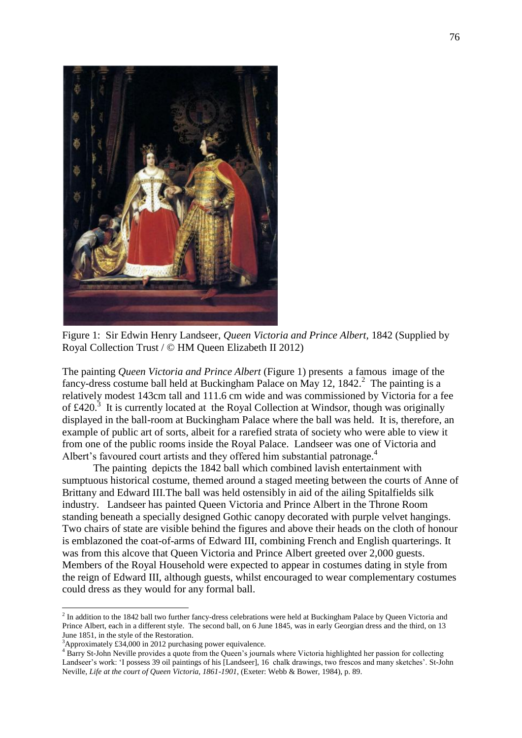

Figure 1: Sir Edwin Henry Landseer, *Queen Victoria and Prince Albert,* 1842 (Supplied by Royal Collection Trust / © HM Queen Elizabeth II 2012)

The painting *Queen Victoria and Prince Albert* (Figure 1) presents a famous image of the fancy-dress costume ball held at Buckingham Palace on May 12, 1842. $^2$  The painting is a relatively modest 143cm tall and 111.6 cm wide and was commissioned by Victoria for a fee of  $\text{\pounds}420$ .<sup>3</sup> It is currently located at the Royal Collection at Windsor, though was originally displayed in the ball-room at Buckingham Palace where the ball was held. It is, therefore, an example of public art of sorts, albeit for a rarefied strata of society who were able to view it from one of the public rooms inside the Royal Palace. Landseer was one of Victoria and Albert's favoured court artists and they offered him substantial patronage.<sup>4</sup>

The painting depicts the 1842 ball which combined lavish entertainment with sumptuous historical costume, themed around a staged meeting between the courts of Anne of Brittany and Edward III.The ball was held ostensibly in aid of the ailing Spitalfields silk industry. Landseer has painted Queen Victoria and Prince Albert in the Throne Room standing beneath a specially designed Gothic canopy decorated with purple velvet hangings. Two chairs of state are visible behind the figures and above their heads on the cloth of honour is emblazoned the coat-of-arms of Edward III, combining French and English quarterings. It was from this alcove that Queen Victoria and Prince Albert greeted over 2,000 guests. Members of the Royal Household were expected to appear in costumes dating in style from the reign of Edward III, although guests, whilst encouraged to wear complementary costumes could dress as they would for any formal ball.

 $<sup>2</sup>$  In addition to the 1842 ball two further fancy-dress celebrations were held at Buckingham Palace by Queen Victoria and</sup> Prince Albert, each in a different style. The second ball, on 6 June 1845, was in early Georgian dress and the third, on 13 June 1851, in the style of the Restoration.

 $3$ Approximately £34,000 in 2012 purchasing power equivalence.

<sup>&</sup>lt;sup>4</sup> Barry St-John Neville provides a quote from the Queen's journals where Victoria highlighted her passion for collecting Landseer's work: 'I possess 39 oil paintings of his [Landseer], 16 chalk drawings, two frescos and many sketches'. St-John Neville, *Life at the court of Queen Victoria, 1861-1901*, (Exeter: Webb & Bower, 1984), p. 89.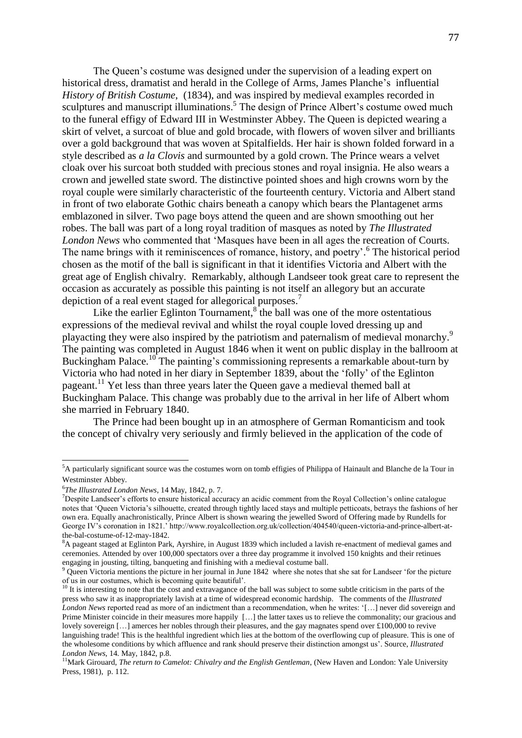The Queen's costume was designed under the supervision of a leading expert on historical dress, dramatist and herald in the College of Arms, James Planche's influential *History of British Costume*, (1834), and was inspired by medieval examples recorded in sculptures and manuscript illuminations.<sup>5</sup> The design of Prince Albert's costume owed much to the funeral effigy of Edward III in Westminster Abbey. The Queen is depicted wearing a skirt of velvet, a surcoat of blue and gold brocade, with flowers of woven silver and brilliants over a gold background that was woven at Spitalfields. Her hair is shown folded forward in a style described as *a la Clovis* and surmounted by a gold crown. The Prince wears a velvet cloak over his surcoat both studded with precious stones and royal insignia. He also wears a crown and jewelled state sword. The distinctive pointed shoes and high crowns worn by the royal couple were similarly characteristic of the fourteenth century. Victoria and Albert stand in front of two elaborate Gothic chairs beneath a canopy which bears the Plantagenet arms emblazoned in silver. Two page boys attend the queen and are shown smoothing out her robes. The ball was part of a long royal tradition of masques as noted by *The Illustrated London News* who commented that 'Masques have been in all ages the recreation of Courts. The name brings with it reminiscences of romance, history, and poetry'. 6 The historical period chosen as the motif of the ball is significant in that it identifies Victoria and Albert with the great age of English chivalry. Remarkably, although Landseer took great care to represent the occasion as accurately as possible this painting is not itself an allegory but an accurate depiction of a real event staged for allegorical purposes.<sup>7</sup>

Like the earlier Eglinton Tournament, $\delta$  the ball was one of the more ostentatious expressions of the medieval revival and whilst the royal couple loved dressing up and playacting they were also inspired by the patriotism and paternalism of medieval monarchy. 9 The painting was completed in August 1846 when it went on public display in the ballroom at Buckingham Palace.<sup>10</sup> The painting's commissioning represents a remarkable about-turn by Victoria who had noted in her diary in September 1839, about the 'folly' of the Eglinton pageant.<sup>11</sup> Yet less than three years later the Queen gave a medieval themed ball at Buckingham Palace. This change was probably due to the arrival in her life of Albert whom she married in February 1840.

The Prince had been bought up in an atmosphere of German Romanticism and took the concept of chivalry very seriously and firmly believed in the application of the code of

<sup>&</sup>lt;sup>5</sup>A particularly significant source was the costumes worn on tomb effigies of Philippa of Hainault and Blanche de la Tour in Westminster Abbey.

<sup>6</sup> *The Illustrated London News*, 14 May, 1842, p. 7.

 $<sup>7</sup>$ Despite Landseer's efforts to ensure historical accuracy an acidic comment from the Royal Collection's online catalogue</sup> notes that 'Queen Victoria's silhouette, created through tightly laced stays and multiple petticoats, betrays the fashions of her own era. Equally anachronistically, Prince Albert is shown wearing the jewelled Sword of Offering made by Rundells for George IV's coronation in 1821.' http://www.royalcollection.org.uk/collection/404540/queen-victoria-and-prince-albert-atthe-bal-costume-of-12-may-1842.

 ${}^{8}A$  pageant staged at Eglinton Park, Ayrshire, in August 1839 which included a lavish re-enactment of medieval games and ceremonies. Attended by over 100,000 spectators over a three day programme it involved 150 knights and their retinues engaging in jousting, tilting, banqueting and finishing with a medieval costume ball.

 $9$  Queen Victoria mentions the picture in her journal in June 1842 where she notes that she sat for Landseer 'for the picture of us in our costumes, which is becoming quite beautiful'.

 $10$  It is interesting to note that the cost and extravagance of the ball was subject to some subtle criticism in the parts of the press who saw it as inappropriately lavish at a time of widespread economic hardship. The comments of the *Illustrated London News* reported read as more of an indictment than a recommendation, when he writes: '[…] never did sovereign and Prime Minister coincide in their measures more happily […] the latter taxes us to relieve the commonality; our gracious and lovely sovereign [...] amerces her nobles through their pleasures, and the gay magnates spend over £100,000 to revive languishing trade! This is the healthful ingredient which lies at the bottom of the overflowing cup of pleasure. This is one of the wholesome conditions by which affluence and rank should preserve their distinction amongst us'. Source, *Illustrated London News,* 14*.* May, 1842, p.8.

<sup>11</sup>Mark Girouard, *The return to Camelot: Chivalry and the English Gentleman*, (New Haven and London: Yale University Press, 1981), p. 112.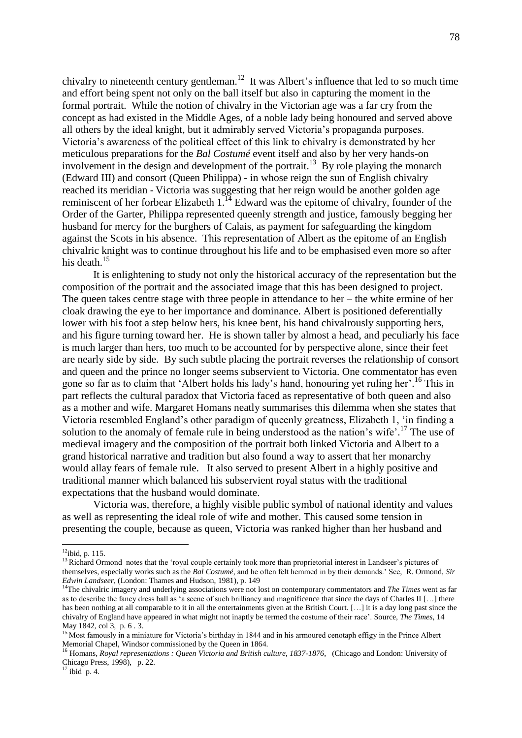chivalry to nineteenth century gentleman.<sup>12</sup> It was Albert's influence that led to so much time and effort being spent not only on the ball itself but also in capturing the moment in the formal portrait. While the notion of chivalry in the Victorian age was a far cry from the concept as had existed in the Middle Ages, of a noble lady being honoured and served above all others by the ideal knight, but it admirably served Victoria's propaganda purposes. Victoria's awareness of the political effect of this link to chivalry is demonstrated by her meticulous preparations for the *Bal Costumé* event itself and also by her very hands-on involvement in the design and development of the portrait.<sup>13</sup> By role playing the monarch (Edward III) and consort (Queen Philippa) - in whose reign the sun of English chivalry reached its meridian - Victoria was suggesting that her reign would be another golden age reminiscent of her forbear Elizabeth  $1<sup>14</sup>$  Edward was the epitome of chivalry, founder of the Order of the Garter, Philippa represented queenly strength and justice, famously begging her husband for mercy for the burghers of Calais, as payment for safeguarding the kingdom against the Scots in his absence. This representation of Albert as the epitome of an English chivalric knight was to continue throughout his life and to be emphasised even more so after his death. 15

It is enlightening to study not only the historical accuracy of the representation but the composition of the portrait and the associated image that this has been designed to project. The queen takes centre stage with three people in attendance to her – the white ermine of her cloak drawing the eye to her importance and dominance. Albert is positioned deferentially lower with his foot a step below hers, his knee bent, his hand chivalrously supporting hers, and his figure turning toward her. He is shown taller by almost a head, and peculiarly his face is much larger than hers, too much to be accounted for by perspective alone, since their feet are nearly side by side. By such subtle placing the portrait reverses the relationship of consort and queen and the prince no longer seems subservient to Victoria. One commentator has even gone so far as to claim that 'Albert holds his lady's hand, honouring yet ruling her'. <sup>16</sup> This in part reflects the cultural paradox that Victoria faced as representative of both queen and also as a mother and wife. Margaret Homans neatly summarises this dilemma when she states that Victoria resembled England's other paradigm of queenly greatness, Elizabeth 1, 'in finding a solution to the anomaly of female rule in being understood as the nation's wife'. <sup>17</sup> The use of medieval imagery and the composition of the portrait both linked Victoria and Albert to a grand historical narrative and tradition but also found a way to assert that her monarchy would allay fears of female rule. It also served to present Albert in a highly positive and traditional manner which balanced his subservient royal status with the traditional expectations that the husband would dominate.

Victoria was, therefore, a highly visible public symbol of national identity and values as well as representing the ideal role of wife and mother. This caused some tension in presenting the couple, because as queen, Victoria was ranked higher than her husband and

 $12$ ibid, p. 115.

<sup>&</sup>lt;sup>13</sup> Richard Ormond notes that the 'royal couple certainly took more than proprietorial interest in Landseer's pictures of themselves, especially works such as the *Bal Costumé*, and he often felt hemmed in by their demands.' See, R. Ormond, *Sir Edwin Landseer*, (London: Thames and Hudson, 1981), p. 149

<sup>&</sup>lt;sup>14</sup>The chivalric imagery and underlying associations were not lost on contemporary commentators and *The Times* went as far as to describe the fancy dress ball as 'a scene of such brilliancy and magnificence that since the days of Charles II […] there has been nothing at all comparable to it in all the entertainments given at the British Court. [...] it is a day long past since the chivalry of England have appeared in what might not inaptly be termed the costume of their race'. Source, *The Times*, 14 May 1842, col 3, p. 6 . 3.

<sup>&</sup>lt;sup>15</sup> Most famously in a miniature for Victoria's birthday in 1844 and in his armoured cenotaph effigy in the Prince Albert Memorial Chapel, Windsor commissioned by the Queen in 1864.

<sup>&</sup>lt;sup>16</sup> Homans, *Royal representations : Queen Victoria and British culture, 1837-1876*, (Chicago and London: University of Chicago Press, 1998), p. 22.

 $^{17}$  ibid p. 4.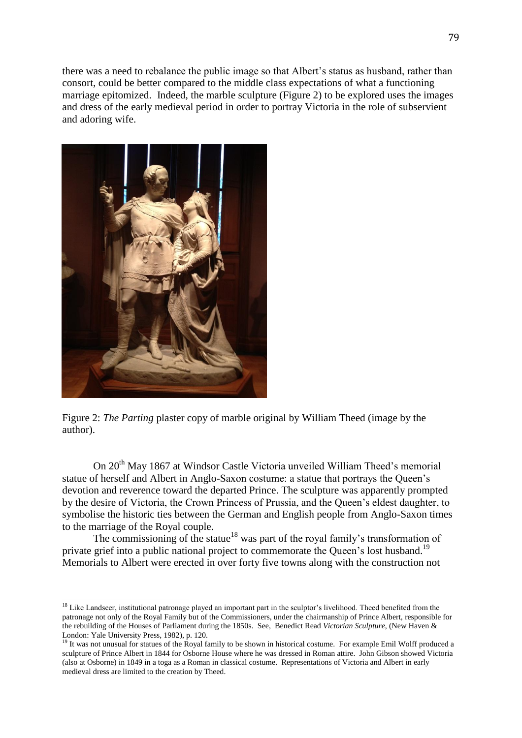there was a need to rebalance the public image so that Albert's status as husband, rather than consort, could be better compared to the middle class expectations of what a functioning marriage epitomized. Indeed, the marble sculpture (Figure 2) to be explored uses the images and dress of the early medieval period in order to portray Victoria in the role of subservient and adoring wife.



Figure 2: *The Parting* plaster copy of marble original by William Theed (image by the author).

On 20<sup>th</sup> May 1867 at Windsor Castle Victoria unveiled William Theed's memorial statue of herself and Albert in Anglo-Saxon costume: a statue that portrays the Queen's devotion and reverence toward the departed Prince. The sculpture was apparently prompted by the desire of Victoria, the Crown Princess of Prussia, and the Queen's eldest daughter, to symbolise the historic ties between the German and English people from Anglo-Saxon times to the marriage of the Royal couple.

The commissioning of the statue<sup>18</sup> was part of the royal family's transformation of private grief into a public national project to commemorate the Queen's lost husband.<sup>19</sup> Memorials to Albert were erected in over forty five towns along with the construction not

<sup>&</sup>lt;sup>18</sup> Like Landseer, institutional patronage played an important part in the sculptor's livelihood. Theed benefited from the patronage not only of the Royal Family but of the Commissioners, under the chairmanship of Prince Albert, responsible for the rebuilding of the Houses of Parliament during the 1850s. See, Benedict Read *Victorian Sculpture*, (New Haven & London: Yale University Press, 1982), p. 120.

<sup>&</sup>lt;sup>19</sup> It was not unusual for statues of the Royal family to be shown in historical costume. For example Emil Wolff produced a sculpture of Prince Albert in 1844 for Osborne House where he was dressed in Roman attire. John Gibson showed Victoria (also at Osborne) in 1849 in a toga as a Roman in classical costume. Representations of Victoria and Albert in early medieval dress are limited to the creation by Theed.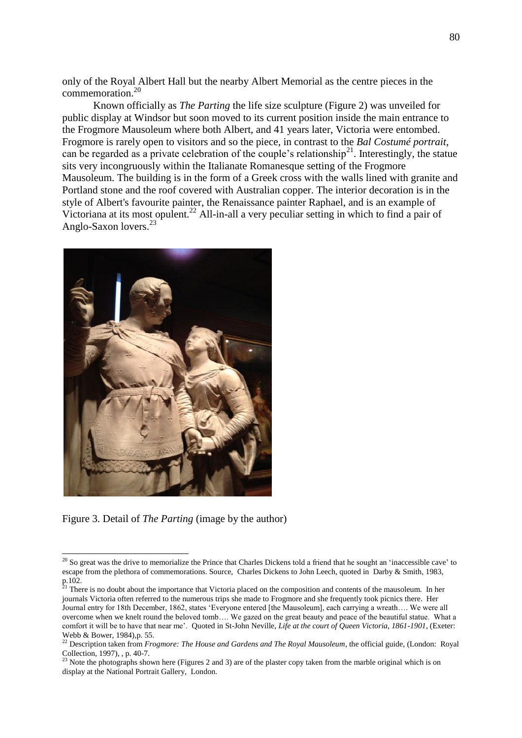only of the Royal Albert Hall but the nearby Albert Memorial as the centre pieces in the commemoration. 20

Known officially as *The Parting* the life size sculpture (Figure 2) was unveiled for public display at Windsor but soon moved to its current position inside the main entrance to the Frogmore Mausoleum where both Albert, and 41 years later, Victoria were entombed. Frogmore is rarely open to visitors and so the piece, in contrast to the *Bal Costumé portrait*, can be regarded as a private celebration of the couple's relationship<sup>21</sup>. Interestingly, the statue sits very incongruously within the Italianate Romanesque setting of the Frogmore Mausoleum. The building is in the form of a Greek cross with the walls lined with granite and Portland stone and the roof covered with Australian copper. The interior decoration is in the style of Albert's favourite painter, the Renaissance painter Raphael, and is an example of Victoriana at its most opulent.<sup>22</sup> All-in-all a very peculiar setting in which to find a pair of Anglo-Saxon lovers. 23



Figure 3. Detail of *The Parting* (image by the author)

 $20$  So great was the drive to memorialize the Prince that Charles Dickens told a friend that he sought an 'inaccessible cave' to escape from the plethora of commemorations. Source, Charles Dickens to [John Leech,](http://en.wikipedia.org/wiki/John_Leech_%28caricaturist%29) quoted in Darby & Smith, 1983, p.102.

<sup>&</sup>lt;sup>21</sup> There is no doubt about the importance that Victoria placed on the composition and contents of the mausoleum. In her journals Victoria often referred to the numerous trips she made to Frogmore and she frequently took picnics there. Her Journal entry for 18th December, 1862, states 'Everyone entered [the Mausoleum], each carrying a wreath…. We were all overcome when we knelt round the beloved tomb…. We gazed on the great beauty and peace of the beautiful statue. What a comfort it will be to have that near me'. Quoted in St-John Neville, *Life at the court of Queen Victoria, 1861-1901*, (Exeter: Webb & Bower, 1984),p. 55.

<sup>&</sup>lt;sup>22</sup> Description taken from *Frogmore: The House and Gardens and The Royal Mausoleum*, the official guide, (London: Royal Collection, 1997), , p. 40-7.

<sup>&</sup>lt;sup>23</sup> Note the photographs shown here (Figures 2 and 3) are of the plaster copy taken from the marble original which is on display at the National Portrait Gallery, London.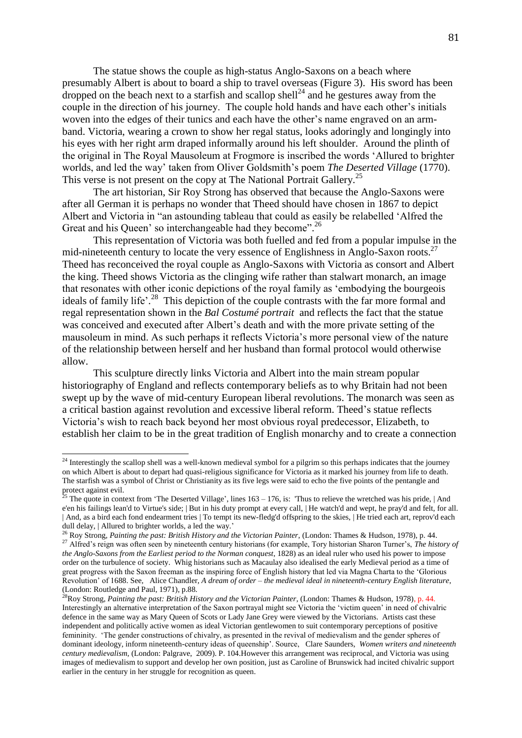The statue shows the couple as high-status Anglo-Saxons on a beach where presumably Albert is about to board a ship to travel overseas (Figure 3). His sword has been dropped on the beach next to a starfish and scallop shell<sup>24</sup> and he gestures away from the couple in the direction of his journey. The couple hold hands and have each other's initials woven into the edges of their tunics and each have the other's name engraved on an armband. Victoria, wearing a crown to show her regal status, looks adoringly and longingly into his eyes with her right arm draped informally around his left shoulder. Around the plinth of the original in The Royal Mausoleum at Frogmore is inscribed the words 'Allured to brighter worlds, and led the way' taken from Oliver Goldsmith's poem *The Deserted Village* (1770). This verse is not present on the copy at The National Portrait Gallery.<sup>25</sup>

The art historian, Sir Roy Strong has observed that because the Anglo-Saxons were after all German it is perhaps no wonder that Theed should have chosen in 1867 to depict Albert and Victoria in "an astounding tableau that could as easily be relabelled 'Alfred the Great and his Queen' so interchangeable had they become".<sup>26</sup>

This representation of Victoria was both fuelled and fed from a popular impulse in the mid-nineteenth century to locate the very essence of Englishness in Anglo-Saxon roots.<sup>27</sup> Theed has reconceived the royal couple as Anglo-Saxons with Victoria as consort and Albert the king. Theed shows Victoria as the clinging wife rather than stalwart monarch, an image that resonates with other iconic depictions of the royal family as 'embodying the bourgeois ideals of family life'.<sup>28</sup> This depiction of the couple contrasts with the far more formal and regal representation shown in the *Bal Costumé portrait* and reflects the fact that the statue was conceived and executed after Albert's death and with the more private setting of the mausoleum in mind. As such perhaps it reflects Victoria's more personal view of the nature of the relationship between herself and her husband than formal protocol would otherwise allow.

This sculpture directly links Victoria and Albert into the main stream popular historiography of England and reflects contemporary beliefs as to why Britain had not been swept up by the wave of mid-century European liberal revolutions. The monarch was seen as a critical bastion against revolution and excessive liberal reform. Theed's statue reflects Victoria's wish to reach back beyond her most obvious royal predecessor, Elizabeth, to establish her claim to be in the great tradition of English monarchy and to create a connection

 $24$  Interestingly the scallop shell was a well-known medieval symbol for a pilgrim so this perhaps indicates that the journey on which Albert is about to depart had quasi-religious significance for Victoria as it marked his journey from life to death. The starfish was a symbol of Christ or Christianity as its five legs were said to echo the five points of the pentangle and protect against evil.

<sup>&</sup>lt;sup>5</sup> The quote in context from 'The Deserted Village', lines  $163 - 176$ , is: 'Thus to relieve the wretched was his pride, | And e'en his failings lean'd to Virtue's side; | But in his duty prompt at every call, | He watch'd and wept, he pray'd and felt, for all. | And, as a bird each fond endearment tries | To tempt its new-fledg'd offspring to the skies, | He tried each art, reprov'd each dull delay, | Allured to brighter worlds, a led the way.'

<sup>26</sup> Roy Strong, *Painting the past: British History and the Victorian Painter*, (London: Thames & Hudson, 1978), p. 44. <sup>27</sup> Alfred's reign was often seen by nineteenth century historians (for example, Tory historian Sharon Turner's, *The history of the Anglo-Saxons from the Earliest period to the Norman conquest*, 1828) as an ideal ruler who used his power to impose order on the turbulence of society. Whig historians such as Macaulay also idealised the early Medieval period as a time of great progress with the Saxon freeman as the inspiring force of English history that led via Magna Charta to the 'Glorious Revolution' of 1688. See, Alice Chandler, *A dream of order – the medieval ideal in nineteenth-century English literature*, (London: Routledge and Paul, 1971), p.88.

<sup>&</sup>lt;sup>28</sup>Roy Strong, *Painting the past: British History and the Victorian Painter*, (London: Thames & Hudson, 1978), p. 44. Interestingly an alternative interpretation of the Saxon portrayal might see Victoria the 'victim queen' in need of chivalric defence in the same way as Mary Queen of Scots or Lady Jane Grey were viewed by the Victorians. Artists cast these independent and politically active women as ideal Victorian gentlewomen to suit contemporary perceptions of positive femininity. 'The gender constructions of chivalry, as presented in the revival of medievalism and the gender spheres of dominant ideology, inform nineteenth-century ideas of queenship'. Source, Clare Saunders, *Women writers and nineteenth century medievalism*, (London: Palgrave, 2009). P. 104.However this arrangement was reciprocal, and Victoria was using images of medievalism to support and develop her own position, just as Caroline of Brunswick had incited chivalric support earlier in the century in her struggle for recognition as queen.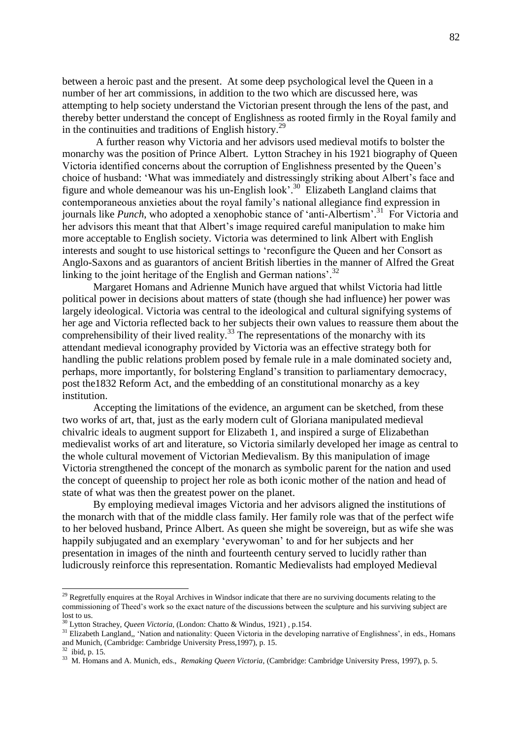between a heroic past and the present. At some deep psychological level the Queen in a number of her art commissions, in addition to the two which are discussed here, was attempting to help society understand the Victorian present through the lens of the past, and thereby better understand the concept of Englishness as rooted firmly in the Royal family and in the continuities and traditions of English history.<sup>29</sup>

A further reason why Victoria and her advisors used medieval motifs to bolster the monarchy was the position of Prince Albert. Lytton Strachey in his 1921 biography of Queen Victoria identified concerns about the corruption of Englishness presented by the Queen's choice of husband: 'What was immediately and distressingly striking about Albert's face and figure and whole demeanour was his un-English look'. 30 Elizabeth Langland claims that contemporaneous anxieties about the royal family's national allegiance find expression in journals like *Punch*, who adopted a xenophobic stance of 'anti-Albertism'. 31 For Victoria and her advisors this meant that that Albert's image required careful manipulation to make him more acceptable to English society. Victoria was determined to link Albert with English interests and sought to use historical settings to 'reconfigure the Queen and her Consort as Anglo-Saxons and as guarantors of ancient British liberties in the manner of Alfred the Great linking to the joint heritage of the English and German nations'.<sup>32</sup>

Margaret Homans and Adrienne Munich have argued that whilst Victoria had little political power in decisions about matters of state (though she had influence) her power was largely ideological. Victoria was central to the ideological and cultural signifying systems of her age and Victoria reflected back to her subjects their own values to reassure them about the comprehensibility of their lived reality.<sup>33</sup> The representations of the monarchy with its attendant medieval iconography provided by Victoria was an effective strategy both for handling the public relations problem posed by female rule in a male dominated society and, perhaps, more importantly, for bolstering England's transition to parliamentary democracy, post the1832 Reform Act, and the embedding of an constitutional monarchy as a key institution.

Accepting the limitations of the evidence, an argument can be sketched, from these two works of art, that, just as the early modern cult of Gloriana manipulated medieval chivalric ideals to augment support for Elizabeth 1, and inspired a surge of Elizabethan medievalist works of art and literature, so Victoria similarly developed her image as central to the whole cultural movement of Victorian Medievalism. By this manipulation of image Victoria strengthened the concept of the monarch as symbolic parent for the nation and used the concept of queenship to project her role as both iconic mother of the nation and head of state of what was then the greatest power on the planet.

By employing medieval images Victoria and her advisors aligned the institutions of the monarch with that of the middle class family. Her family role was that of the perfect wife to her beloved husband, Prince Albert. As queen she might be sovereign, but as wife she was happily subjugated and an exemplary 'everywoman' to and for her subjects and her presentation in images of the ninth and fourteenth century served to lucidly rather than ludicrously reinforce this representation. Romantic Medievalists had employed Medieval

 $29$  Regretfully enquires at the Royal Archives in Windsor indicate that there are no surviving documents relating to the commissioning of Theed's work so the exact nature of the discussions between the sculpture and his surviving subject are lost to us.

<sup>30</sup> Lytton Strachey, *Queen Victoria,* (London: Chatto & Windus, 1921) , p.154.

<sup>&</sup>lt;sup>31</sup> Elizabeth Langland,, 'Nation and nationality: Queen Victoria in the developing narrative of Englishness', in eds., Homans and Munich, (Cambridge: Cambridge University Press,1997), p. 15.

<sup>32</sup> ibid, p. 15.

<sup>33</sup> M. Homans and A. Munich, eds., *Remaking Queen Victoria*, (Cambridge: Cambridge University Press, 1997), p. 5.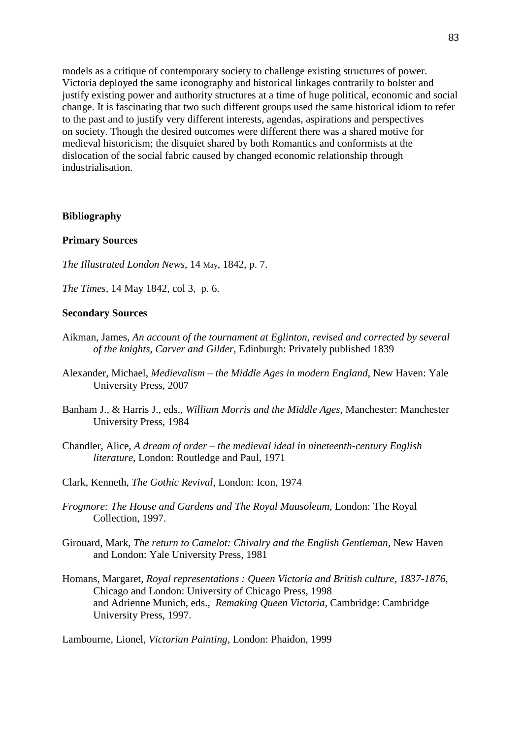models as a critique of contemporary society to challenge existing structures of power. Victoria deployed the same iconography and historical linkages contrarily to bolster and justify existing power and authority structures at a time of huge political, economic and social change. It is fascinating that two such different groups used the same historical idiom to refer to the past and to justify very different interests, agendas, aspirations and perspectives on society. Though the desired outcomes were different there was a shared motive for medieval historicism; the disquiet shared by both Romantics and conformists at the dislocation of the social fabric caused by changed economic relationship through industrialisation.

#### **Bibliography**

# **Primary Sources**

- *The Illustrated London News*, 14 May, 1842, p. 7.
- *The Times,* 14 May 1842, col 3, p. 6.

#### **Secondary Sources**

- Aikman, James, *An account of the tournament at Eglinton, revised and corrected by several of the knights, Carver and Gilder*, Edinburgh: Privately published 1839
- Alexander, Michael, *Medievalism – the Middle Ages in modern England*, New Haven: Yale University Press, 2007
- Banham J., & Harris J., eds., *William Morris and the Middle Ages*, Manchester: Manchester University Press, 1984
- Chandler, Alice, *A dream of order – the medieval ideal in nineteenth-century English literature*, London: Routledge and Paul, 1971
- Clark, Kenneth, *The Gothic Revival*, London: Icon, 1974
- *Frogmore: The House and Gardens and The Royal Mausoleum*, London: The Royal Collection, 1997.
- Girouard, Mark, *The return to Camelot: Chivalry and the English Gentleman*, New Haven and London: Yale University Press, 1981
- Homans, Margaret, *Royal representations : Queen Victoria and British culture, 1837-1876*, Chicago and London: University of Chicago Press, 1998 and Adrienne Munich, eds., *Remaking Queen Victoria*, Cambridge: Cambridge University Press, 1997.

Lambourne, Lionel, *Victorian Painting*, London: Phaidon, 1999